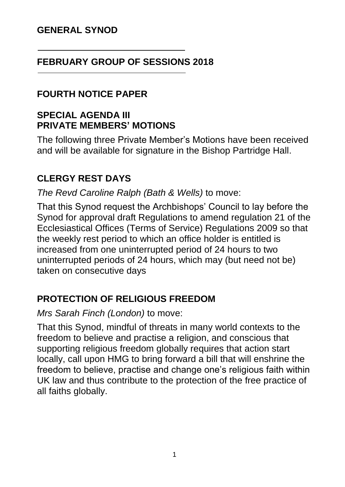## **GENERAL SYNOD**

## **FEBRUARY GROUP OF SESSIONS 2018**

## **FOURTH NOTICE PAPER**

## **SPECIAL AGENDA III PRIVATE MEMBERS' MOTIONS**

The following three Private Member's Motions have been received and will be available for signature in the Bishop Partridge Hall.

# **CLERGY REST DAYS**

*The Revd Caroline Ralph (Bath & Wells)* to move:

That this Synod request the Archbishops' Council to lay before the Synod for approval draft Regulations to amend regulation 21 of the Ecclesiastical Offices (Terms of Service) Regulations 2009 so that the weekly rest period to which an office holder is entitled is increased from one uninterrupted period of 24 hours to two uninterrupted periods of 24 hours, which may (but need not be) taken on consecutive days

# **PROTECTION OF RELIGIOUS FREEDOM**

#### *Mrs Sarah Finch (London)* to move:

That this Synod, mindful of threats in many world contexts to the freedom to believe and practise a religion, and conscious that supporting religious freedom globally requires that action start locally, call upon HMG to bring forward a bill that will enshrine the freedom to believe, practise and change one's religious faith within UK law and thus contribute to the protection of the free practice of all faiths globally.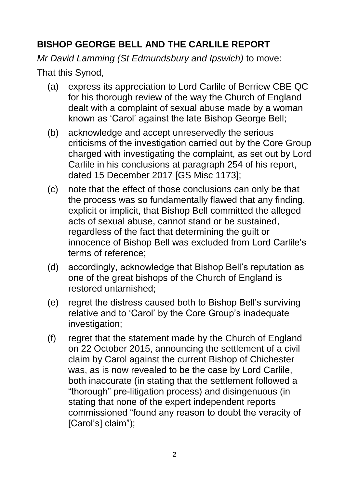# **BISHOP GEORGE BELL AND THE CARLILE REPORT**

*Mr David Lamming (St Edmundsbury and Ipswich)* to move: That this Synod,

- (a) express its appreciation to Lord Carlile of Berriew CBE QC for his thorough review of the way the Church of England dealt with a complaint of sexual abuse made by a woman known as 'Carol' against the late Bishop George Bell;
- (b) acknowledge and accept unreservedly the serious criticisms of the investigation carried out by the Core Group charged with investigating the complaint, as set out by Lord Carlile in his conclusions at paragraph 254 of his report, dated 15 December 2017 [GS Misc 1173];
- (c) note that the effect of those conclusions can only be that the process was so fundamentally flawed that any finding, explicit or implicit, that Bishop Bell committed the alleged acts of sexual abuse, cannot stand or be sustained, regardless of the fact that determining the guilt or innocence of Bishop Bell was excluded from Lord Carlile's terms of reference;
- (d) accordingly, acknowledge that Bishop Bell's reputation as one of the great bishops of the Church of England is restored untarnished;
- (e) regret the distress caused both to Bishop Bell's surviving relative and to 'Carol' by the Core Group's inadequate investigation;
- (f) regret that the statement made by the Church of England on 22 October 2015, announcing the settlement of a civil claim by Carol against the current Bishop of Chichester was, as is now revealed to be the case by Lord Carlile, both inaccurate (in stating that the settlement followed a "thorough" pre-litigation process) and disingenuous (in stating that none of the expert independent reports commissioned "found any reason to doubt the veracity of [Carol's] claim");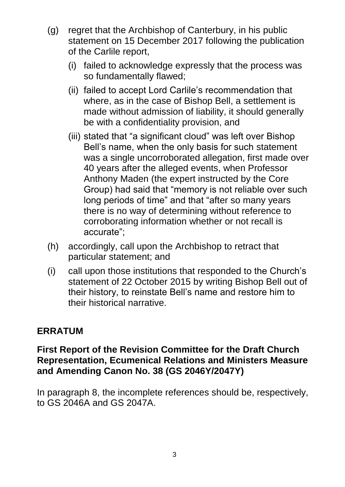- (g) regret that the Archbishop of Canterbury, in his public statement on 15 December 2017 following the publication of the Carlile report,
	- (i) failed to acknowledge expressly that the process was so fundamentally flawed;
	- (ii) failed to accept Lord Carlile's recommendation that where, as in the case of Bishop Bell, a settlement is made without admission of liability, it should generally be with a confidentiality provision, and
	- (iii) stated that "a significant cloud" was left over Bishop Bell's name, when the only basis for such statement was a single uncorroborated allegation, first made over 40 years after the alleged events, when Professor Anthony Maden (the expert instructed by the Core Group) had said that "memory is not reliable over such long periods of time" and that "after so many years there is no way of determining without reference to corroborating information whether or not recall is accurate";
- (h) accordingly, call upon the Archbishop to retract that particular statement; and
- (i) call upon those institutions that responded to the Church's statement of 22 October 2015 by writing Bishop Bell out of their history, to reinstate Bell's name and restore him to their historical narrative.

# **ERRATUM**

## **First Report of the Revision Committee for the Draft Church Representation, Ecumenical Relations and Ministers Measure and Amending Canon No. 38 (GS 2046Y/2047Y)**

In paragraph 8, the incomplete references should be, respectively, to GS 2046A and GS 2047A.